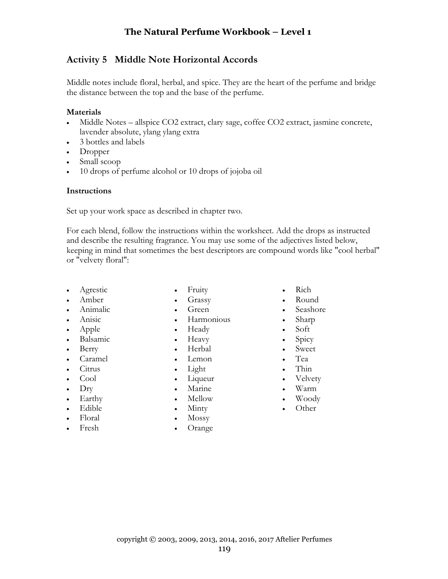# **Activity 5 Middle Note Horizontal Accords**

Middle notes include floral, herbal, and spice. They are the heart of the perfume and bridge the distance between the top and the base of the perfume.

#### **Materials**

- Middle Notes allspice CO2 extract, clary sage, coffee CO2 extract, jasmine concrete, lavender absolute, ylang ylang extra
- 3 bottles and labels
- Dropper
- Small scoop
- 10 drops of perfume alcohol or 10 drops of jojoba oil

#### **Instructions**

Set up your work space as described in chapter two.

For each blend, follow the instructions within the worksheet. Add the drops as instructed and describe the resulting fragrance. You may use some of the adjectives listed below, keeping in mind that sometimes the best descriptors are compound words like "cool herbal" or "velvety floral":

• Agrestic • Amber

• Animalic • Anisic • Apple

• Berry • Caramel • Citrus • Cool • Dry • Earthy • Edible • Floral • Fresh

• Balsamic

- Fruity
- Grassy
- Green
- Harmonious
- Heady
- Heavy
- Herbal
- Lemon
- Light
- Liqueur
- Marine
- Mellow
- Minty
- Mossy
- Orange
- Rich
- Round
- Seashore
- Sharp
- Soft
- Spicy
- Sweet
- Tea
- Thin
- Velvety
- Warm
- Woody
- Other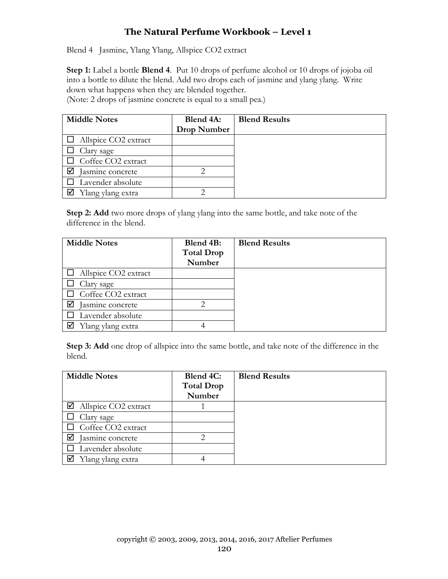## **The Natural Perfume Workbook – Level 1**

Blend 4 Jasmine, Ylang Ylang, Allspice CO2 extract

**Step 1:** Label a bottle **Blend 4**. Put 10 drops of perfume alcohol or 10 drops of jojoba oil into a bottle to dilute the blend. Add two drops each of jasmine and ylang ylang. Write down what happens when they are blended together.

(Note: 2 drops of jasmine concrete is equal to a small pea.)

| <b>Middle Notes</b>      | Blend 4A:   | <b>Blend Results</b> |
|--------------------------|-------------|----------------------|
|                          | Drop Number |                      |
| Allspice CO2 extract     |             |                      |
| Clary sage               |             |                      |
| Coffee CO2 extract       |             |                      |
| Jasmine concrete         | ↑           |                      |
| $\Box$ Lavender absolute |             |                      |
| Ylang ylang extra        |             |                      |

**Step 2: Add** two more drops of ylang ylang into the same bottle, and take note of the difference in the blend.

| <b>Middle Notes</b>         | Blend 4B:<br><b>Total Drop</b><br>Number | <b>Blend Results</b> |
|-----------------------------|------------------------------------------|----------------------|
| $\Box$ Allspice CO2 extract |                                          |                      |
| Clary sage                  |                                          |                      |
| $\Box$ Coffee CO2 extract   |                                          |                      |
| Iasmine concrete<br>☑       |                                          |                      |
| Lavender absolute           |                                          |                      |
| Ylang ylang extra<br>⊻      |                                          |                      |

**Step 3: Add** one drop of allspice into the same bottle, and take note of the difference in the blend.

| <b>Middle Notes</b>              | Blend 4C:<br><b>Total Drop</b><br>Number | <b>Blend Results</b> |
|----------------------------------|------------------------------------------|----------------------|
| $\boxtimes$ Allspice CO2 extract |                                          |                      |
| Clary sage                       |                                          |                      |
| Coffee CO2 extract               |                                          |                      |
| ∇<br>Jasmine concrete            | 2                                        |                      |
| Lavender absolute                |                                          |                      |
| Ylang ylang extra                |                                          |                      |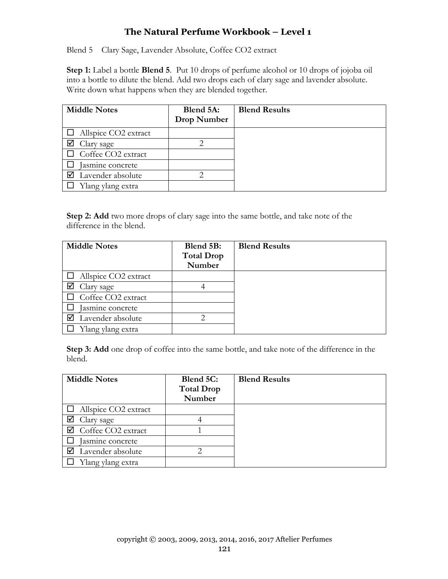## **The Natural Perfume Workbook – Level 1**

Blend 5 Clary Sage, Lavender Absolute, Coffee CO2 extract

**Step 1:** Label a bottle **Blend 5**. Put 10 drops of perfume alcohol or 10 drops of jojoba oil into a bottle to dilute the blend. Add two drops each of clary sage and lavender absolute. Write down what happens when they are blended together.

| <b>Middle Notes</b>         | Blend 5A:<br>Drop Number | <b>Blend Results</b> |
|-----------------------------|--------------------------|----------------------|
| $\Box$ Allspice CO2 extract |                          |                      |
| Clary sage                  | 2.                       |                      |
| $\Box$ Coffee CO2 extract   |                          |                      |
| Iasmine concrete            |                          |                      |
| Lavender absolute           |                          |                      |
| Ylang ylang extra           |                          |                      |

**Step 2: Add** two more drops of clary sage into the same bottle, and take note of the difference in the blend.

| <b>Middle Notes</b>         | Blend 5B:<br><b>Total Drop</b> | <b>Blend Results</b> |
|-----------------------------|--------------------------------|----------------------|
|                             | Number                         |                      |
| $\Box$ Allspice CO2 extract |                                |                      |
| ☑<br>Clary sage             | 4                              |                      |
| Coffee CO2 extract          |                                |                      |
| Jasmine concrete            |                                |                      |
| ☑<br>Lavender absolute      | ာ                              |                      |
| Ylang ylang extra           |                                |                      |

**Step 3: Add** one drop of coffee into the same bottle, and take note of the difference in the blend.

| <b>Middle Notes</b>         | Blend 5C:<br><b>Total Drop</b> | <b>Blend Results</b> |
|-----------------------------|--------------------------------|----------------------|
|                             | Number                         |                      |
| $\Box$ Allspice CO2 extract |                                |                      |
| Clary sage                  |                                |                      |
| Coffee CO2 extract          |                                |                      |
| asmine concrete             |                                |                      |
| Lavender absolute           | ◠                              |                      |
| Ylang ylang extra           |                                |                      |